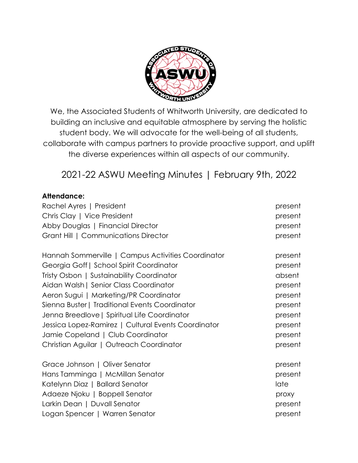

We, the Associated Students of Whitworth University, are dedicated to building an inclusive and equitable atmosphere by serving the holistic student body. We will advocate for the well-being of all students, collaborate with campus partners to provide proactive support, and uplift the diverse experiences within all aspects of our community.

# 2021-22 ASWU Meeting Minutes | February 9th, 2022

#### **Attendance:**

| Rachel Ayres   President                            | present |
|-----------------------------------------------------|---------|
| Chris Clay   Vice President                         | present |
| Abby Douglas   Financial Director                   | present |
| Grant Hill   Communications Director                | present |
| Hannah Sommerville   Campus Activities Coordinator  | present |
| Georgia Goff   School Spirit Coordinator            | present |
| Tristy Osbon   Sustainability Coordinator           | absent  |
| Aidan Walsh   Senior Class Coordinator              | present |
| Aeron Sugui   Marketing/PR Coordinator              | present |
| Sienna Buster   Traditional Events Coordinator      | present |
| Jenna Breedlove   Spiritual Life Coordinator        | present |
| Jessica Lopez-Ramirez   Cultural Events Coordinator | present |
| Jamie Copeland   Club Coordinator                   | present |
| Christian Aguilar   Outreach Coordinator            | present |
| Grace Johnson   Oliver Senator                      | present |
| Hans Tamminga   McMillan Senator                    | present |
| Katelynn Diaz   Ballard Senator                     | late    |
| Adaeze Njoku   Boppell Senator                      | proxy   |
| Larkin Dean   Duvall Senator                        | present |
| Logan Spencer   Warren Senator                      | present |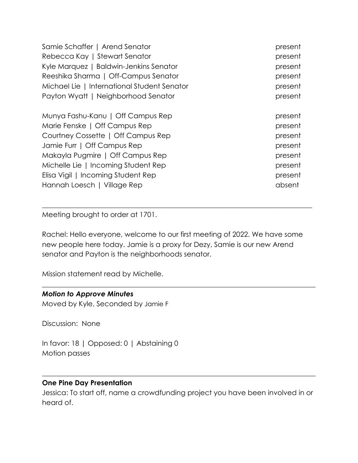| Samie Schaffer   Arend Senator              | present |
|---------------------------------------------|---------|
| Rebecca Kay   Stewart Senator               | present |
| Kyle Marquez   Baldwin-Jenkins Senator      | present |
| Reeshika Sharma   Off-Campus Senator        | present |
| Michael Lie   International Student Senator | present |
| Payton Wyatt   Neighborhood Senator         | present |
| Munya Fashu-Kanu   Off Campus Rep           | present |
| Marie Fenske   Off Campus Rep               | present |
| Courtney Cossette   Off Campus Rep          | present |
| Jamie Furr   Off Campus Rep                 | present |
| Makayla Pugmire   Off Campus Rep            | present |
| Michelle Lie   Incoming Student Rep         | present |
| Elisa Vigil   Incoming Student Rep          | present |
| Hannah Loesch   Village Rep                 | absent  |

Meeting brought to order at 1701.

Rachel: Hello everyone, welcome to our first meeting of 2022. We have some new people here today. Jamie is a proxy for Dezy, Samie is our new Arend senator and Payton is the neighborhoods senator.

 $\_$  , and the set of the set of the set of the set of the set of the set of the set of the set of the set of the set of the set of the set of the set of the set of the set of the set of the set of the set of the set of th

 $\_$  , and the set of the set of the set of the set of the set of the set of the set of the set of the set of the set of the set of the set of the set of the set of the set of the set of the set of the set of the set of th

Mission statement read by Michelle.

#### *Motion to Approve Minutes*

Moved by Kyle, Seconded by Jamie F

Discussion: None

In favor: 18 | Opposed: 0 | Abstaining 0 Motion passes

#### **One Pine Day Presentation**

Jessica: To start off, name a crowdfunding project you have been involved in or heard of.

 $\_$  , and the set of the set of the set of the set of the set of the set of the set of the set of the set of the set of the set of the set of the set of the set of the set of the set of the set of the set of the set of th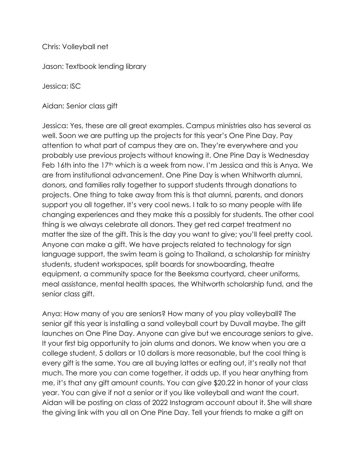Chris: Volleyball net

Jason: Textbook lending library

Jessica: ISC

Aidan: Senior class gift

Jessica: Yes, these are all great examples. Campus ministries also has several as well. Soon we are putting up the projects for this year's One Pine Day. Pay attention to what part of campus they are on. They're everywhere and you probably use previous projects without knowing it. One Pine Day is Wednesday Feb 16th into the 17<sup>th</sup> which is a week from now. I'm Jessica and this is Anya. We are from institutional advancement. One Pine Day is when Whitworth alumni, donors, and families rally together to support students through donations to projects. One thing to take away from this is that alumni, parents, and donors support you all together. It's very cool news. I talk to so many people with life changing experiences and they make this a possibly for students. The other cool thing is we always celebrate all donors. They get red carpet treatment no matter the size of the gift. This is the day you want to give; you'll feel pretty cool. Anyone can make a gift. We have projects related to technology for sign language support, the swim team is going to Thailand, a scholarship for ministry students, student workspaces, split boards for snowboarding, theatre equipment, a community space for the Beeksma courtyard, cheer uniforms, meal assistance, mental health spaces, the Whitworth scholarship fund, and the senior class gift.

Anya: How many of you are seniors? How many of you play volleyball? The senior gif this year is installing a sand volleyball court by Duvall maybe. The gift launches on One Pine Day. Anyone can give but we encourage seniors to give. It your first big opportunity to join alums and donors. We know when you are a college student, 5 dollars or 10 dollars is more reasonable, but the cool thing is every gift is the same. You are all buying lattes or eating out, it's really not that much. The more you can come together, it adds up. If you hear anything from me, it's that any gift amount counts. You can give \$20.22 in honor of your class year. You can give if not a senior or if you like volleyball and want the court. Aidan will be posting on class of 2022 Instagram account about it. She will share the giving link with you all on One Pine Day. Tell your friends to make a gift on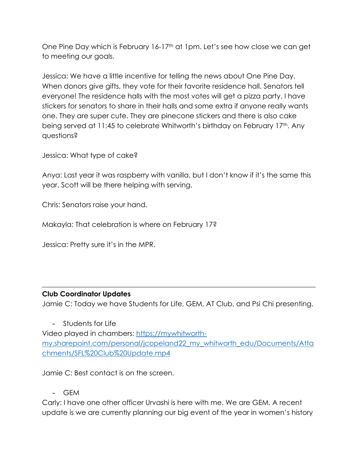One Pine Day which is February 16-17th at 1pm. Let's see how close we can get to meeting our goals.

Jessica: We have a little incentive for telling the news about One Pine Day. When donors give gifts, they vote for their favorite residence hall. Senators tell everyone! The residence halls with the most votes will get a pizza party. I have stickers for senators to share in their halls and some extra if anyone really wants one. They are super cute. They are pinecone stickers and there is also cake being served at 11:45 to celebrate Whitworth's birthday on February 17th. Any questions?

Jessica: What type of cake?

Anya: Last year it was raspberry with vanilla, but I don't know if it's the same this year. Scott will be there helping with serving.

Chris: Senators raise your hand.

Makayla: That celebration is where on February 17?

Jessica: Pretty sure it's in the MPR.

#### **Club Coordinator Updates**

Jamie C: Today we have Students for Life, GEM, AT Club, and Psi Chi presenting.

 $\_$  , and the set of the set of the set of the set of the set of the set of the set of the set of the set of the set of the set of the set of the set of the set of the set of the set of the set of the set of the set of th

- Students for Life Video played in chambers: https://mywhitworthmy.sharepoint.com/personal/jcopeland22\_my\_whitworth\_edu/Documents/Atta chments/SFL%20Club%20Update.mp4

Jamie C: Best contact is on the screen.

- GEM

Carly: I have one other officer Urvashi is here with me. We are GEM. A recent update is we are currently planning our big event of the year in women's history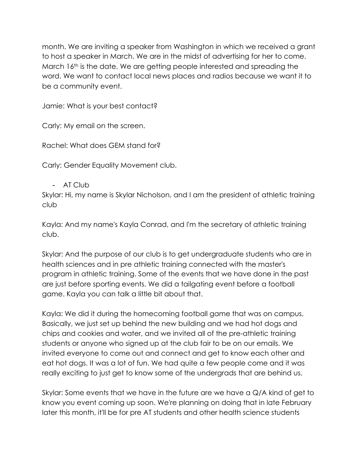month. We are inviting a speaker from Washington in which we received a grant to host a speaker in March. We are in the midst of advertising for her to come. March 16<sup>th</sup> is the date. We are getting people interested and spreading the word. We want to contact local news places and radios because we want it to be a community event.

Jamie: What is your best contact?

Carly: My email on the screen.

Rachel: What does GEM stand for?

Carly: Gender Equality Movement club.

- AT Club

Skylar: Hi, my name is Skylar Nicholson, and I am the president of athletic training club

Kayla: And my name's Kayla Conrad, and I'm the secretary of athletic training club.

Skylar: And the purpose of our club is to get undergraduate students who are in health sciences and in pre athletic training connected with the master's program in athletic training. Some of the events that we have done in the past are just before sporting events. We did a tailgating event before a football game. Kayla you can talk a little bit about that.

Kayla: We did it during the homecoming football game that was on campus. Basically, we just set up behind the new building and we had hot dogs and chips and cookies and water, and we invited all of the pre-athletic training students or anyone who signed up at the club fair to be on our emails. We invited everyone to come out and connect and get to know each other and eat hot dogs. It was a lot of fun. We had quite a few people come and it was really exciting to just get to know some of the undergrads that are behind us.

Skylar: Some events that we have in the future are we have a Q/A kind of get to know you event coming up soon. We're planning on doing that in late February later this month, it'll be for pre AT students and other health science students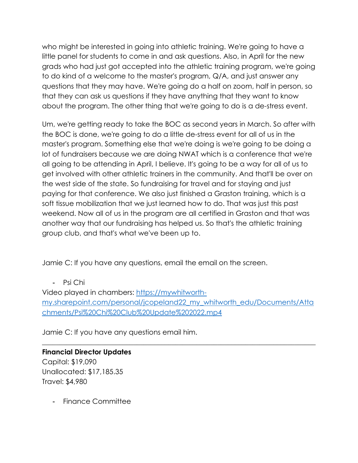who might be interested in going into athletic training. We're going to have a little panel for students to come in and ask questions. Also, in April for the new grads who had just got accepted into the athletic training program, we're going to do kind of a welcome to the master's program, Q/A, and just answer any questions that they may have. We're going do a half on zoom, half in person, so that they can ask us questions if they have anything that they want to know about the program. The other thing that we're going to do is a de-stress event.

Um, we're getting ready to take the BOC as second years in March. So after with the BOC is done, we're going to do a little de-stress event for all of us in the master's program. Something else that we're doing is we're going to be doing a lot of fundraisers because we are doing NWAT which is a conference that we're all going to be attending in April, I believe. It's going to be a way for all of us to get involved with other athletic trainers in the community. And that'll be over on the west side of the state. So fundraising for travel and for staying and just paying for that conference. We also just finished a Graston training, which is a soft tissue mobilization that we just learned how to do. That was just this past weekend. Now all of us in the program are all certified in Graston and that was another way that our fundraising has helped us. So that's the athletic training group club, and that's what we've been up to.

Jamie C: If you have any questions, email the email on the screen.

- Psi Chi

Video played in chambers: https://mywhitworthmy.sharepoint.com/personal/jcopeland22\_my\_whitworth\_edu/Documents/Atta chments/Psi%20Chi%20Club%20Update%202022.mp4

 $\_$  , and the set of the set of the set of the set of the set of the set of the set of the set of the set of the set of the set of the set of the set of the set of the set of the set of the set of the set of the set of th

Jamie C: If you have any questions email him.

**Financial Director Updates** Capital: \$19,090 Unallocated: \$17,185.35 Travel: \$4,980

- Finance Committee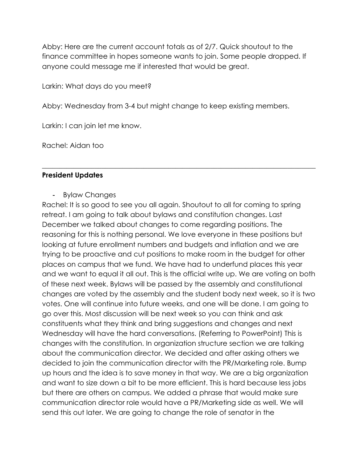Abby: Here are the current account totals as of 2/7. Quick shoutout to the finance committee in hopes someone wants to join. Some people dropped. If anyone could message me if interested that would be great.

Larkin: What days do you meet?

Abby: Wednesday from 3-4 but might change to keep existing members.

\_\_\_\_\_\_\_\_\_\_\_\_\_\_\_\_\_\_\_\_\_\_\_\_\_\_\_\_\_\_\_\_\_\_\_\_\_\_\_\_\_\_\_\_\_\_\_\_\_\_\_\_\_\_\_\_\_\_\_\_\_\_\_\_\_\_\_\_\_\_\_\_\_\_\_\_\_\_

Larkin: I can join let me know.

Rachel: Aidan too

#### **President Updates**

#### - Bylaw Changes

Rachel: It is so good to see you all again. Shoutout to all for coming to spring retreat. I am going to talk about bylaws and constitution changes. Last December we talked about changes to come regarding positions. The reasoning for this is nothing personal. We love everyone in these positions but looking at future enrollment numbers and budgets and inflation and we are trying to be proactive and cut positions to make room in the budget for other places on campus that we fund. We have had to underfund places this year and we want to equal it all out. This is the official write up. We are voting on both of these next week. Bylaws will be passed by the assembly and constitutional changes are voted by the assembly and the student body next week, so it is two votes. One will continue into future weeks, and one will be done. I am going to go over this. Most discussion will be next week so you can think and ask constituents what they think and bring suggestions and changes and next Wednesday will have the hard conversations. (Referring to PowerPoint) This is changes with the constitution. In organization structure section we are talking about the communication director. We decided and after asking others we decided to join the communication director with the PR/Marketing role. Bump up hours and the idea is to save money in that way. We are a big organization and want to size down a bit to be more efficient. This is hard because less jobs but there are others on campus. We added a phrase that would make sure communication director role would have a PR/Marketing side as well. We will send this out later. We are going to change the role of senator in the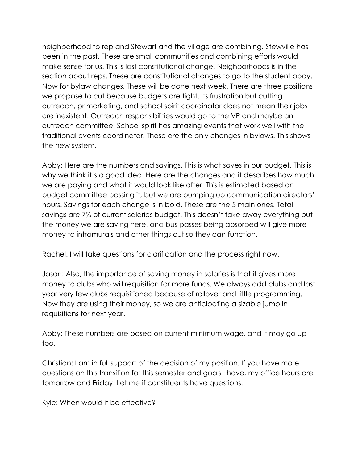neighborhood to rep and Stewart and the village are combining. Stewville has been in the past. These are small communities and combining efforts would make sense for us. This is last constitutional change. Neighborhoods is in the section about reps. These are constitutional changes to go to the student body. Now for bylaw changes. These will be done next week. There are three positions we propose to cut because budgets are tight. Its frustration but cutting outreach, pr marketing, and school spirit coordinator does not mean their jobs are inexistent. Outreach responsibilities would go to the VP and maybe an outreach committee. School spirit has amazing events that work well with the traditional events coordinator. Those are the only changes in bylaws. This shows the new system.

Abby: Here are the numbers and savings. This is what saves in our budget. This is why we think it's a good idea. Here are the changes and it describes how much we are paying and what it would look like after. This is estimated based on budget committee passing it, but we are bumping up communication directors' hours. Savings for each change is in bold. These are the 5 main ones. Total savings are 7% of current salaries budget. This doesn't take away everything but the money we are saving here, and bus passes being absorbed will give more money to intramurals and other things cut so they can function.

Rachel: I will take questions for clarification and the process right now.

Jason: Also, the importance of saving money in salaries is that it gives more money to clubs who will requisition for more funds. We always add clubs and last year very few clubs requisitioned because of rollover and little programming. Now they are using their money, so we are anticipating a sizable jump in requisitions for next year.

Abby: These numbers are based on current minimum wage, and it may go up too.

Christian: I am in full support of the decision of my position. If you have more questions on this transition for this semester and goals I have, my office hours are tomorrow and Friday. Let me if constituents have questions.

Kyle: When would it be effective?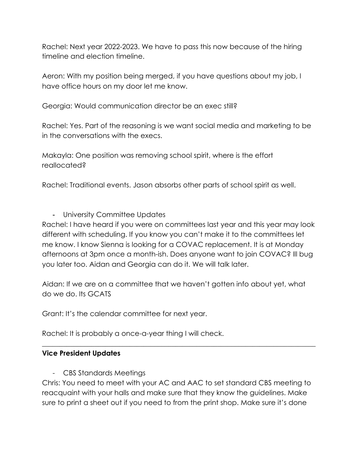Rachel: Next year 2022-2023. We have to pass this now because of the hiring timeline and election timeline.

Aeron: With my position being merged, if you have questions about my job, I have office hours on my door let me know.

Georgia: Would communication director be an exec still?

Rachel: Yes. Part of the reasoning is we want social media and marketing to be in the conversations with the execs.

Makayla: One position was removing school spirit, where is the effort reallocated?

Rachel: Traditional events. Jason absorbs other parts of school spirit as well.

- University Committee Updates

Rachel: I have heard if you were on committees last year and this year may look different with scheduling. If you know you can't make it to the committees let me know. I know Sienna is looking for a COVAC replacement. It is at Monday afternoons at 3pm once a month-ish. Does anyone want to join COVAC? Ill bug you later too. Aidan and Georgia can do it. We will talk later.

Aidan: If we are on a committee that we haven't gotten info about yet, what do we do. Its GCATS

Grant: It's the calendar committee for next year.

Rachel: It is probably a once-a-year thing I will check.

#### **Vice President Updates**

- CBS Standards Meetings

Chris: You need to meet with your AC and AAC to set standard CBS meeting to reacquaint with your halls and make sure that they know the guidelines. Make sure to print a sheet out if you need to from the print shop. Make sure it's done

 $\_$  , and the set of the set of the set of the set of the set of the set of the set of the set of the set of the set of the set of the set of the set of the set of the set of the set of the set of the set of the set of th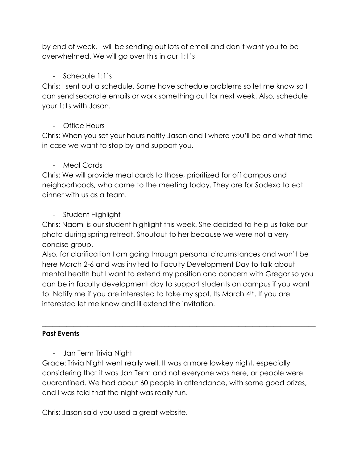by end of week. I will be sending out lots of email and don't want you to be overwhelmed. We will go over this in our 1:1's

# - Schedule 1:1's

Chris: I sent out a schedule. Some have schedule problems so let me know so I can send separate emails or work something out for next week. Also, schedule your 1:1s with Jason.

# - Office Hours

Chris: When you set your hours notify Jason and I where you'll be and what time in case we want to stop by and support you.

# - Meal Cards

Chris: We will provide meal cards to those, prioritized for off campus and neighborhoods, who came to the meeting today. They are for Sodexo to eat dinner with us as a team.

# - Student Highlight

Chris: Naomi is our student highlight this week. She decided to help us take our photo during spring retreat. Shoutout to her because we were not a very concise group.

Also, for clarification I am going through personal circumstances and won't be here March 2-6 and was invited to Faculty Development Day to talk about mental health but I want to extend my position and concern with Gregor so you can be in faculty development day to support students on campus if you want to. Notify me if you are interested to take my spot. Its March 4th. If you are interested let me know and ill extend the invitation.

\_\_\_\_\_\_\_\_\_\_\_\_\_\_\_\_\_\_\_\_\_\_\_\_\_\_\_\_\_\_\_\_\_\_\_\_\_\_\_\_\_\_\_\_\_\_\_\_\_\_\_\_\_\_\_\_\_\_\_\_\_\_\_\_\_\_\_\_\_\_\_\_\_\_\_\_\_\_

## **Past Events**

- Jan Term Trivia Night

Grace: Trivia Night went really well. It was a more lowkey night, especially considering that it was Jan Term and not everyone was here, or people were quarantined. We had about 60 people in attendance, with some good prizes, and I was told that the night was really fun.

Chris: Jason said you used a great website.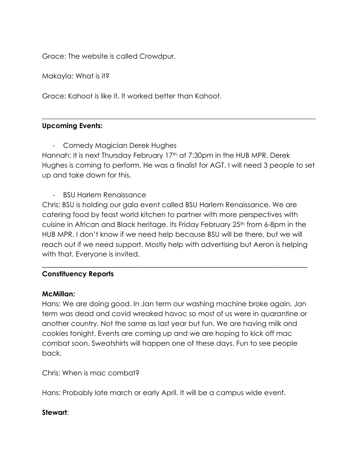Grace: The website is called Crowdpur.

Makayla: What is it?

Grace: Kahoot is like it. It worked better than Kahoot.

## **Upcoming Events:**

- Comedy Magician Derek Hughes

Hannah: It is next Thursday February 17<sup>th</sup> at 7:30pm in the HUB MPR. Derek Hughes is coming to perform. He was a finalist for AGT. I will need 3 people to set up and take down for this.

 $\_$  , and the set of the set of the set of the set of the set of the set of the set of the set of the set of the set of the set of the set of the set of the set of the set of the set of the set of the set of the set of th

- BSU Harlem Renaissance

Chris: BSU is holding our gala event called BSU Harlem Renaissance. We are catering food by feast world kitchen to partner with more perspectives with cuisine in African and Black heritage. Its Friday February 25th from 6-8pm in the HUB MPR. I don't know if we need help because BSU will be there, but we will reach out if we need support. Mostly help with advertising but Aeron is helping with that. Everyone is invited.

\_\_\_\_\_\_\_\_\_\_\_\_\_\_\_\_\_\_\_\_\_\_\_\_\_\_\_\_\_\_\_\_\_\_\_\_\_\_\_\_\_\_\_\_\_\_\_\_\_\_\_\_\_\_\_\_\_\_\_\_\_\_\_\_\_\_\_\_\_\_\_\_\_\_\_\_

## **Constituency Reports**

#### **McMillan:**

Hans: We are doing good. In Jan term our washing machine broke again. Jan term was dead and covid wreaked havoc so most of us were in quarantine or another country. Not the same as last year but fun. We are having milk and cookies tonight. Events are coming up and we are hoping to kick off mac combat soon. Sweatshirts will happen one of these days. Fun to see people back.

Chris: When is mac combat?

Hans: Probably late march or early April. It will be a campus wide event.

#### **Stewart**: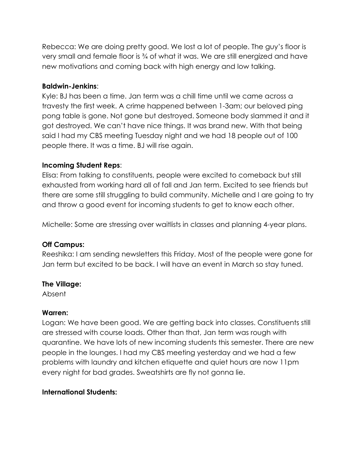Rebecca: We are doing pretty good. We lost a lot of people. The guy's floor is very small and female floor is ¾ of what it was. We are still energized and have new motivations and coming back with high energy and low talking.

## **Baldwin-Jenkins**:

Kyle: BJ has been a time. Jan term was a chill time until we came across a travesty the first week. A crime happened between 1-3am; our beloved ping pong table is gone. Not gone but destroyed. Someone body slammed it and it got destroyed. We can't have nice things. It was brand new. With that being said I had my CBS meeting Tuesday night and we had 18 people out of 100 people there. It was a time. BJ will rise again.

## **Incoming Student Reps**:

Elisa: From talking to constituents, people were excited to comeback but still exhausted from working hard all of fall and Jan term. Excited to see friends but there are some still struggling to build community. Michelle and I are going to try and throw a good event for incoming students to get to know each other.

Michelle: Some are stressing over waitlists in classes and planning 4-year plans.

#### **Off Campus:**

Reeshika: I am sending newsletters this Friday. Most of the people were gone for Jan term but excited to be back. I will have an event in March so stay tuned.

#### **The Village:**

Absent

#### **Warren:**

Logan: We have been good. We are getting back into classes. Constituents still are stressed with course loads. Other than that, Jan term was rough with quarantine. We have lots of new incoming students this semester. There are new people in the lounges. I had my CBS meeting yesterday and we had a few problems with laundry and kitchen etiquette and quiet hours are now 11pm every night for bad grades. Sweatshirts are fly not gonna lie.

## **International Students:**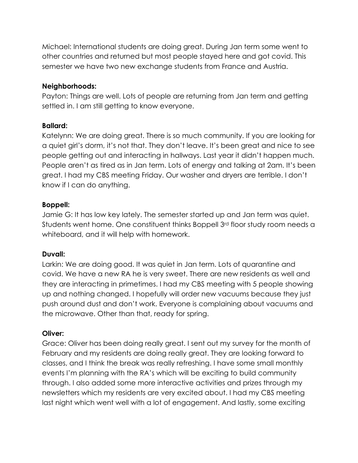Michael: International students are doing great. During Jan term some went to other countries and returned but most people stayed here and got covid. This semester we have two new exchange students from France and Austria.

## **Neighborhoods:**

Payton: Things are well. Lots of people are returning from Jan term and getting settled in. I am still getting to know everyone.

## **Ballard:**

Katelynn: We are doing great. There is so much community. If you are looking for a quiet girl's dorm, it's not that. They don't leave. It's been great and nice to see people getting out and interacting in hallways. Last year it didn't happen much. People aren't as tired as in Jan term. Lots of energy and talking at 2am. It's been great. I had my CBS meeting Friday. Our washer and dryers are terrible. I don't know if I can do anything.

## **Boppell:**

Jamie G: It has low key lately. The semester started up and Jan term was quiet. Students went home. One constituent thinks Boppell 3<sup>rd</sup> floor study room needs a whiteboard, and it will help with homework.

## **Duvall:**

Larkin: We are doing good. It was quiet in Jan term. Lots of quarantine and covid. We have a new RA he is very sweet. There are new residents as well and they are interacting in primetimes. I had my CBS meeting with 5 people showing up and nothing changed. I hopefully will order new vacuums because they just push around dust and don't work. Everyone is complaining about vacuums and the microwave. Other than that, ready for spring.

#### **Oliver:**

Grace: Oliver has been doing really great. I sent out my survey for the month of February and my residents are doing really great. They are looking forward to classes, and I think the break was really refreshing. I have some small monthly events I'm planning with the RA's which will be exciting to build community through. I also added some more interactive activities and prizes through my newsletters which my residents are very excited about. I had my CBS meeting last night which went well with a lot of engagement. And lastly, some exciting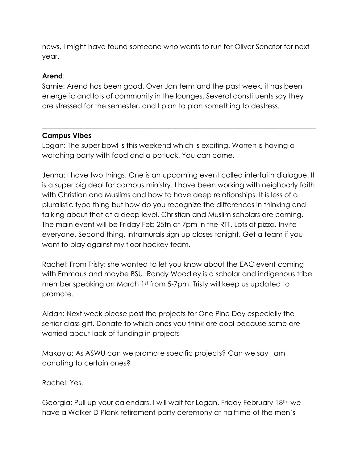news, I might have found someone who wants to run for Oliver Senator for next year.

### **Arend**:

Samie: Arend has been good. Over Jan term and the past week, it has been energetic and lots of community in the lounges. Several constituents say they are stressed for the semester, and I plan to plan something to destress.

 $\_$  , and the set of the set of the set of the set of the set of the set of the set of the set of the set of the set of the set of the set of the set of the set of the set of the set of the set of the set of the set of th

## **Campus Vibes**

Logan: The super bowl is this weekend which is exciting. Warren is having a watching party with food and a potluck. You can come.

Jenna: I have two things. One is an upcoming event called interfaith dialogue. It is a super big deal for campus ministry. I have been working with neighborly faith with Christian and Muslims and how to have deep relationships. It is less of a pluralistic type thing but how do you recognize the differences in thinking and talking about that at a deep level. Christian and Muslim scholars are coming. The main event will be Friday Feb 25tn at 7pm in the RTT. Lots of pizza. Invite everyone. Second thing, intramurals sign up closes tonight. Get a team if you want to play against my floor hockey team.

Rachel: From Tristy: she wanted to let you know about the EAC event coming with Emmaus and maybe BSU. Randy Woodley is a scholar and indigenous tribe member speaking on March 1st from 5-7pm. Tristy will keep us updated to promote.

Aidan: Next week please post the projects for One Pine Day especially the senior class gift. Donate to which ones you think are cool because some are worried about lack of funding in projects

Makayla: As ASWU can we promote specific projects? Can we say I am donating to certain ones?

Rachel: Yes.

Georgia: Pull up your calendars. I will wait for Logan. Friday February 18th, we have a Walker D Plank retirement party ceremony at halftime of the men's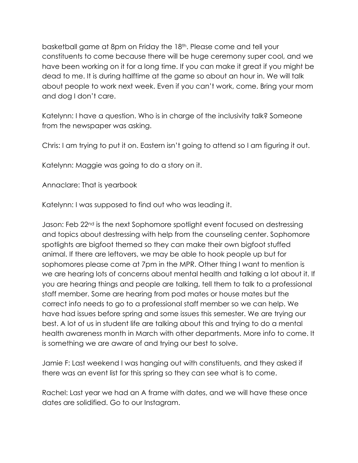basketball game at 8pm on Friday the 18th. Please come and tell your constituents to come because there will be huge ceremony super cool, and we have been working on it for a long time. If you can make it great if you might be dead to me. It is during halftime at the game so about an hour in. We will talk about people to work next week. Even if you can't work, come. Bring your mom and dog I don't care.

Katelynn: I have a question. Who is in charge of the inclusivity talk? Someone from the newspaper was asking.

Chris: I am trying to put it on. Eastern isn't going to attend so I am figuring it out.

Katelynn: Maggie was going to do a story on it.

Annaclare: That is yearbook

Katelynn: I was supposed to find out who was leading it.

Jason: Feb 22<sup>nd</sup> is the next Sophomore spotlight event focused on destressing and topics about destressing with help from the counseling center. Sophomore spotlights are bigfoot themed so they can make their own bigfoot stuffed animal. If there are leftovers, we may be able to hook people up but for sophomores please come at 7pm in the MPR. Other thing I want to mention is we are hearing lots of concerns about mental health and talking a lot about it. If you are hearing things and people are talking, tell them to talk to a professional staff member. Some are hearing from pod mates or house mates but the correct info needs to go to a professional staff member so we can help. We have had issues before spring and some issues this semester. We are trying our best. A lot of us in student life are talking about this and trying to do a mental health awareness month in March with other departments. More info to come. It is something we are aware of and trying our best to solve.

Jamie F: Last weekend I was hanging out with constituents, and they asked if there was an event list for this spring so they can see what is to come.

Rachel: Last year we had an A frame with dates, and we will have these once dates are solidified. Go to our Instagram.